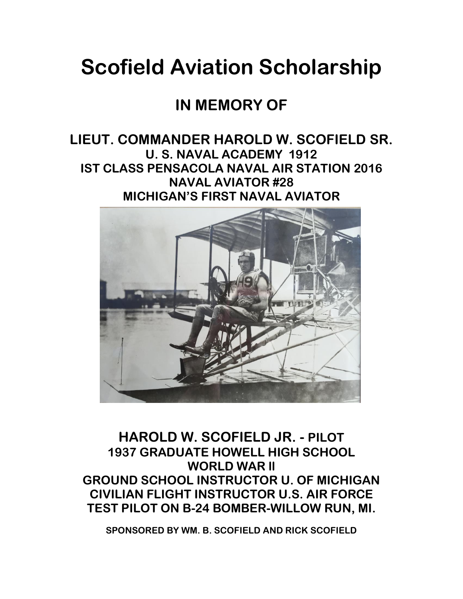# **Scofield Aviation Scholarship**

### **IN MEMORY OF**

### **LIEUT. COMMANDER HAROLD W. SCOFIELD SR. U. S. NAVAL ACADEMY 1912 IST CLASS PENSACOLA NAVAL AIR STATION 2016 NAVAL AVIATOR #28 MICHIGAN'S FIRST NAVAL AVIATOR**



**HAROLD W. SCOFIELD JR. - PILOT 1937 GRADUATE HOWELL HIGH SCHOOL WORLD WAR ll GROUND SCHOOL INSTRUCTOR U. OF MICHIGAN CIVILIAN FLIGHT INSTRUCTOR U.S. AIR FORCE TEST PILOT ON B-24 BOMBER-WILLOW RUN, MI.**

**SPONSORED BY WM. B. SCOFIELD AND RICK SCOFIELD**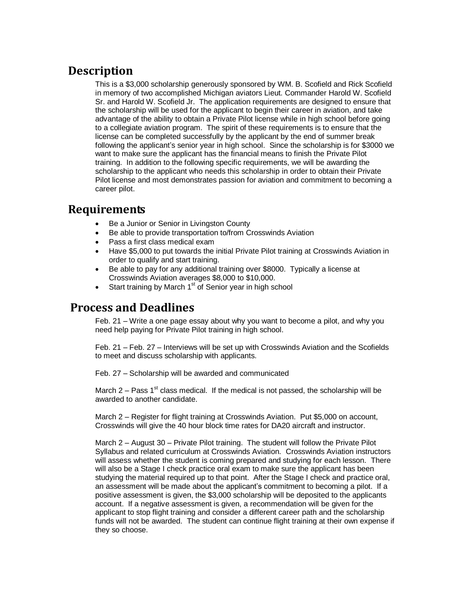#### **Description**

This is a \$3,000 scholarship generously sponsored by WM. B. Scofield and Rick Scofield in memory of two accomplished Michigan aviators Lieut. Commander Harold W. Scofield Sr. and Harold W. Scofield Jr. The application requirements are designed to ensure that the scholarship will be used for the applicant to begin their career in aviation, and take advantage of the ability to obtain a Private Pilot license while in high school before going to a collegiate aviation program. The spirit of these requirements is to ensure that the license can be completed successfully by the applicant by the end of summer break following the applicant's senior year in high school. Since the scholarship is for \$3000 we want to make sure the applicant has the financial means to finish the Private Pilot training. In addition to the following specific requirements, we will be awarding the scholarship to the applicant who needs this scholarship in order to obtain their Private Pilot license and most demonstrates passion for aviation and commitment to becoming a career pilot.

#### **Requirements**

- Be a Junior or Senior in Livingston County
- Be able to provide transportation to/from Crosswinds Aviation
- Pass a first class medical exam
- Have \$5,000 to put towards the initial Private Pilot training at Crosswinds Aviation in order to qualify and start training.
- Be able to pay for any additional training over \$8000. Typically a license at Crosswinds Aviation averages \$8,000 to \$10,000.
- $\bullet$  Start training by March 1<sup>st</sup> of Senior year in high school

#### **Process and Deadlines**

Feb. 21 – Write a one page essay about why you want to become a pilot, and why you need help paying for Private Pilot training in high school.

Feb. 21 – Feb. 27 – Interviews will be set up with Crosswinds Aviation and the Scofields to meet and discuss scholarship with applicants.

Feb. 27 – Scholarship will be awarded and communicated

March 2 – Pass  $1<sup>st</sup>$  class medical. If the medical is not passed, the scholarship will be awarded to another candidate.

March 2 – Register for flight training at Crosswinds Aviation. Put \$5,000 on account, Crosswinds will give the 40 hour block time rates for DA20 aircraft and instructor.

March 2 – August 30 – Private Pilot training. The student will follow the Private Pilot Syllabus and related curriculum at Crosswinds Aviation. Crosswinds Aviation instructors will assess whether the student is coming prepared and studying for each lesson. There will also be a Stage I check practice oral exam to make sure the applicant has been studying the material required up to that point. After the Stage I check and practice oral, an assessment will be made about the applicant's commitment to becoming a pilot. If a positive assessment is given, the \$3,000 scholarship will be deposited to the applicants account. If a negative assessment is given, a recommendation will be given for the applicant to stop flight training and consider a different career path and the scholarship funds will not be awarded. The student can continue flight training at their own expense if they so choose.